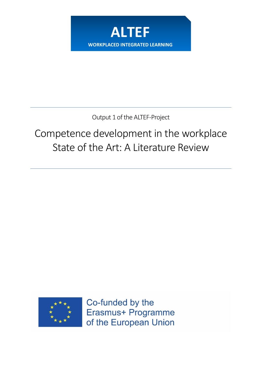

Output 1 of the ALTEF-Project

# Competence development in the workplace State of the Art: A Literature Review



Co-funded by the Erasmus+ Programme of the European Union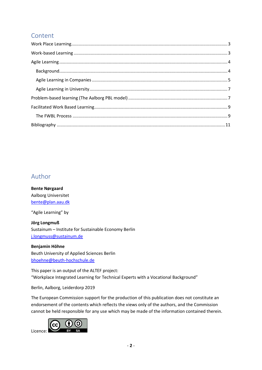# Content

# Author

**Bente Nørgaard** Aalborg Universitet [bente@plan.aau.dk](mailto:bente@plan.aau.dk)

"Agile Learning" by

**Jörg Longmuß** Sustainum – Institute for Sustainable Economy Berlin [j.longmuss@sustainum.de](mailto:j.longmuss@sustainum.de)

**Benjamin Höhne** Beuth University of Applied Sciences Berlin [bhoehne@beuth-hochschule.de](mailto:bhoehne@beuth-hochschule.de)

This paper is an output of the ALTEF project: "Workplace Integrated Learning for Technical Experts with a Vocational Background"

Berlin, Aalborg, Leiderdorp 2019

The European Commission support for the production of this publication does not constitute an endorsement of the contents which reflects the views only of the authors, and the Commission cannot be held responsible for any use which may be made of the information contained therein.

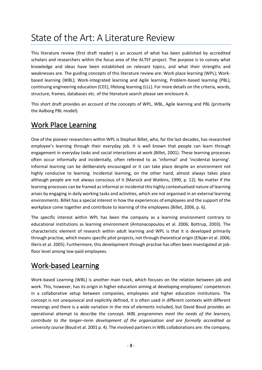# State of the Art: A Literature Review

This literature review (first draft reader) is an account of what has been published by accredited scholars and researchers within the focus area of the ALTEF project. The purpose is to convey what knowledge and ideas have been established on relevant topics, and what their strengths and weaknesses are. The guiding concepts of this literature review are: Work place learning (WPL); Workbased learning (WBL); Work-integrated learning and Agile learning, Problem-based learning (PBL), continuing engineering education (CEE), lifelong learning (LLL). For more details on the criteria, words, structure, frames, databases etc. of the literature search please see enclosure A.

This short draft provides an account of the concepts of WPL, WBL, Agile learning and PBL (primarily the Aalborg PBL model).

# <span id="page-2-0"></span>Work Place Learning

One of the pioneer researchers within WPL is Stephan Billet, who, for the last decades, has researched employee's learning through their everyday job. It is well known that people can learn through engagement in everyday tasks and social interactions at work (Billet, 2001). These learning processes often occur informally and incidentally, often refereed to as 'informal' and 'incidental learning'. Informal learning can be deliberately encouraged or it can take place despite an environment not highly conducive to learning. Incidental learning, on the other hand, almost always takes place although people are not always conscious of it (Marsick and Watkins, 1990, p. 12). No matter if the learning processes can be framed as informal or incidental this highly contextualised nature of learning arises by engaging in daily working tasks and activities, which are not organised in an external learning environments. Billet has a special interest in how the experiences of employees and the support of the workplace come together and contribute to learning of the employees (Billet, 2006, p. 6).

The specific interest within WPL has been the company as a learning environment contrary to educational institutions as learning environment (Antonacopoulou et al. 2006; Bottrup, 2003). The characteristic element of research within adult learning and WPL is that it is developed primarily through practise, which means specific pilot projects, not through theoretical origin (Elkjær et al. 2006; Illeris et al. 2005). Furthermore, this development through practise has often been investigated at jobfloor level among low-paid employees.

# <span id="page-2-1"></span>Work-based Learning

Work-based Learning (WBL) is another main track, which focuses on the relation between job and work. This, however, has its origin in higher education aiming at developing employees' competences in a collaborative setup between companies, employees and higher education institutions. The concept is not unequivocal and explicitly defined, it is often used in different contexts with different meanings and there is a wide variation in the mix of elements included, but David Boud provides an operational attempt to describe the concept. *WBL programmes meet the needs of the learners, contribute to the longer–term development of the organisation and are formally accredited as university course* (Boud et al. 2001 p. 4). The involved partners in WBL collaborations are: the company,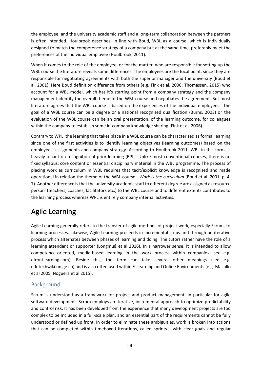the employee, and the university academic staff and a long-term collaboration between the partners is often intended. Houlbrook describes, in line with Boud, WBL as a course, which is individually designed to match the competence strategy of a company but at the same time, preferably meet the preferences of the individual employee (Houlbrook, 2011).

When it comes to the role of the employee, or for the matter, who are responsible for setting up the WBL course the literature reveals some differences. The employees are the focal point, since they are responsible for negotiating agreements with both the superior manager and the university (Boud et al. 2001). Here Boud definition difference from others (e.g. Fink et al, 2006; Thomassen, 2015) who account for a WBL model, which has it's starting point from a company strategy and the company management identify the overall theme of the WBL course and negotiates the agreement. But most literature agrees that the WBL course is based on the experiences of the individual employees. The goal of a WBL course can be a degree or a national recognised qualification (Burns, 2003) or the evaluation of the WBL course can be an oral presentation, of the learning outcome, for colleagues within the company to establish some in-company knowledge sharing (Fink et al, 2006).

Contrary to WPL, the learning that takes place in a WBL course can be characterised as formal learning since one of the first activities is to identify learning objectives (learning outcomes) based on the employees' assignments and company strategy. According to Houlbrook 2011, WBL in this form, is heavily reliant on recognition of prior learning (RPL). Unlike most conventional courses, there is no fixed syllabus, core content or essential disciplinary material in the WBL programme. The process of placing work as curriculum in WBL requires that tacit/explicit knowledge is recognised and made operational in relation the theme of the WBL course. *Work is the curriculum* (Boud et al. 2001, p. 4, 7). Another difference is that the university academic staff to different degree are assigned as resource person' (teachers, coaches, facilitators etc.) to the WBL course and to different extents contributes to the learning process whereas WPL is entirely company internal activities.

# <span id="page-3-0"></span>Agile Learning

Agile Learning generally refers to the transfer of agile methods of project work, especially Scrum, to learning processes. Likewise, Agile Learning proceeds in incremental steps and through an iterative process which alternates between phases of learning and doing. The tutors rather have the role of a learning attendant or supporter (Longmuß et al 2016). In a narrower sense, it is intended to allow competence-oriented, media-based learning in the work process within companies (see e.g. efrontlearning.com). Beside this, the term can take several other meanings (see e.g. edutechwiki.unige.ch) and is also often used within E-Learning and Online Environments (e.g. Masullo et al 2005, Noguera et al 2015).

## <span id="page-3-1"></span>Background

Scrum is understood as a framework for project and product management, in particular for agile software development. Scrum employs an iterative, incremental approach to optimize predictability and control risk. It has been developed from the experience that many development projects are too complex to be included in a full-scale plan, and an essential part of the requirements cannot be fully understood or defined up front. In order to eliminate these ambiguities, work is broken into actions that can be completed within timeboxed iterations, called sprints - with clear goals and regular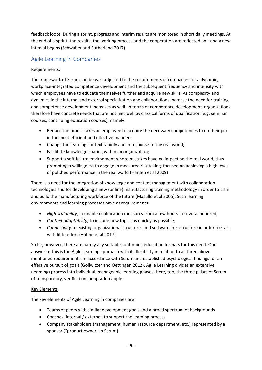feedback loops. During a sprint, progress and interim results are monitored in short daily meetings. At the end of a sprint, the results, the working process and the cooperation are reflected on - and a new interval begins (Schwaber and Sutherland 2017).

## <span id="page-4-0"></span>Agile Learning in Companies

### Requirements:

The framework of Scrum can be well adjusted to the requirements of companies for a dynamic, workplace-integrated competence development and the subsequent frequency and intensity with which employees have to educate themselves further and acquire new skills. As complexity and dynamics in the internal and external specialization and collaborations increase the need for training and competence development increases as well. In terms of competence development, organizations therefore have concrete needs that are not met well by classical forms of qualification (e.g. seminar courses, continuing education courses), namely:

- Reduce the time it takes an employee to acquire the necessary competences to do their job in the most efficient and effective manner;
- Change the learning context rapidly and in response to the real world;
- Facilitate knowledge sharing within an organization;
- Support a soft failure environment where mistakes have no impact on the real world, thus promoting a willingness to engage in measured risk taking, focused on achieving a high level of polished performance in the real world (Hansen et al 2009)

There is a need for the integration of knowledge and content management with collaboration technologies and for developing a new (online) manufacturing training methodology in order to train and build the manufacturing workforce of the future (Masullo et al 2005). Such learning environments and learning processes have as requirements:

- *High scalability*, to enable qualification measures from a few hours to several hundred;
- *Content adaptability*, to include new topics as quickly as possible;
- *Connectivity* to existing organizational structures and software infrastructure in order to start with little effort (Höhne et al 2017).

So far, however, there are hardly any suitable continuing education formats for this need. One answer to this is the Agile Learning approach with its flexibility in relation to all three above mentioned requirements. In accordance with Scrum and established psychological findings for an effective pursuit of goals (Gollwitzer and Oettingen 2012), Agile Learning divides an extensive (learning) process into individual, manageable learning phases. Here, too, the three pillars of Scrum of transparency, verification, adaptation apply.

### Key Elements

The key elements of Agile Learning in companies are:

- Teams of peers with similar development goals and a broad spectrum of backgrounds
- Coaches (internal / external) to support the learning process
- Company stakeholders (management, human resource department, etc.) represented by a sponsor ("product owner" in Scrum).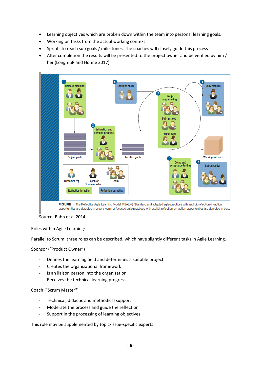- Learning objectives which are broken down within the team into personal learning goals.
- Working on tasks from the actual working context
- Sprints to reach sub goals / milestones. The coaches will closely guide this process
- After completion the results will be presented to the project owner and be verified by him / her (Longmuß and Höhne 2017)



Source: Babb et al 2014

### Roles within Agile Learning:

Parallel to Scrum, three roles can be described, which have slightly different tasks in Agile Learning.

Sponsor ("Product Owner")

- Defines the learning field and determines a suitable project
- Creates the organizational framework
- Is an liaison person into the organization
- Receives the technical learning progress

Coach ("Scrum Master")

- Technical, didactic and methodical support
- Moderate the process and guide the reflection
- Support in the processing of learning objectives

This role may be supplemented by topic/issue-specific experts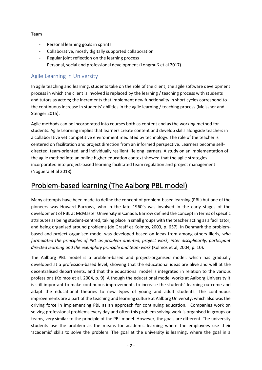#### Team

- Personal learning goals in sprints
- Collaborative, mostly digitally supported collaboration
- Regular joint reflection on the learning process
- Personal, social and professional development (Longmuß et al 2017)

### <span id="page-6-0"></span>Agile Learning in University

In agile teaching and learning, students take on the role of the client; the agile software development process in which the client is involved is replaced by the learning / teaching process with students and tutors as actors; the increments that implement new functionality in short cycles correspond to the continuous increase in students' abilities in the agile learning / teaching process (Meissner and Stenger 2015).

Agile methods can be incorporated into courses both as content and as the working method for students. Agile Learning implies that learners create content and develop skills alongside teachers in a collaborative yet competitive environment mediated by technology. The role of the teacher is centered on facilitation and project direction from an informed perspective. Learners become selfdirected, team-oriented, and individually resilient lifelong learners. A study on an implementation of the agile method into an online higher education context showed that the agile strategies incorporated into project-based learning facilitated team regulation and project management (Noguera et al 2018).

# <span id="page-6-1"></span>Problem-based learning (The Aalborg PBL model)

Many attempts have been made to define the concept of problem-based learning (PBL) but one of the pioneers was Howard Barrows, who in the late 1960's was involved in the early stages of the development of PBL at McMaster University in Canada. Barrow defined the concept in terms of specific attributes as being student-centred, taking place in small groups with the teacher acting as a facilitator, and being organised around problems (de Graaff et Kolmos, 2003, p. 657). In Denmark the problembased and project-organised model was developed based on ideas from among others Illeris, *who formulated the principles of PBL as problem oriented, project work, inter disciplinarily, participant directed learning and the exemplary principle and team work* (Kolmos et al, 2004, p. 10).

The Aalborg PBL model is a problem-based and project-organised model, which has gradually developed at a profession-based level, showing that the educational ideas are alive and well at the decentralised departments, and that the educational model is integrated in relation to the various professions (Kolmos et al. 2004, p. 9). Although the educational model works at Aalborg University it is still important to make continuous improvements to increase the students' learning outcome and adapt the educational theories to new types of young and adult students. The continuous improvements are a part of the teaching and learning culture at Aalborg University, which also was the driving force in implementing PBL as an approach for continuing education. Companies work on solving professional problems every day and often this problem solving work is organised in groups or teams, very similar to the principle of the PBL model. However, the goals are different. The university students use the problem as the means for academic learning where the employees use their 'academic' skills to solve the problem. The goal at the university is learning, where the goal in a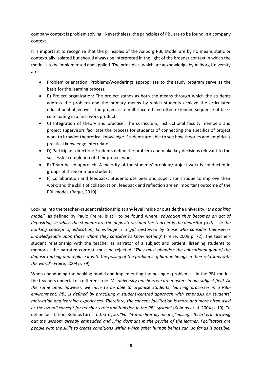company context is problem solving. Nevertheless, the principles of PBL are to be found in a company context.

It is important to recognize that the principles of the Aalborg PBL Model are by no means static or contextually isolated but should always be interpreted in the light of the broader context in which the model is to be implemented and applied. The principles, which are acknowledge by Aalborg University are:

- Problem orientation: Problems/wonderings appropriate to the study program serve as the basis for the learning process.
- B) Project organization: The project stands as both the means through which the students address the problem and the primary means by which students achieve the articulated educational objectives. The project is a multi-faceted and often extended sequence of tasks culminating in a final work product.
- C) Integration of theory and practice: The curriculum, instructional faculty members and project supervisors facilitate the process for students of connecting the specifics of project work to broader theoretical knowledge. Students are able to see how theories and empirical/ practical knowledge interrelate.
- D) Participant direction: Students define the problem and make key decisions relevant to the successful completion of their project work.
- E) Team-based approach: A majority of the students' problem/project work is conducted in groups of three or more students.
- F) Collaboration and feedback: Students use peer and supervisor critique to improve their work; and the skills of collaboration, feedback and reflection are an important outcome of the PBL model. (Barge, 2010)

Looking into the teacher–student relationship at any level inside or outside the university, '*the banking model',* as defined by Paulo Freire, is still to be found where '*education thus becomes an act of depositing, in which the students are the depositories and the teacher is the depositor (red) … in the banking concept of education, knowledge is a gift bestowed by those who consider themselves knowledgeable upon those whom they consider to know nothing'* (Freire, 2009 p. 72). The teacherstudent relationship with the teacher as narrator of a subject and patient, listening students to memorize the narrated content, must be rejected. '*They must abandon the educational goal of the deposit-making and replace it with the posing of the problems of human beings in their relations with the world*' (Freire, 2009 p. 79).

When abandoning the banking model and implementing the posing of problems – in the PBL model, the teachers undertake a different role. *'As university teachers we are masters in our subject field. At the same time, however, we have to be able to organise students' learning processes in a PBLenvironment. PBL is defined by practising a student-centred approach with emphasis on students' motivation and learning experiences. Therefore, the concept facilitation is more and more often used as the overall concept for teacher's role and function in the PBL-system'* (Kolmos et al. 2004 p. 10). To define facilitation, Kolmos turns to J. Gregors *"Facilitation literally means,"easing". Its art is in drawing out the wisdom already embedded and lying dormant in the psyche of the learner. Facilitators are people with the skills to create conditions within which other human beings can, so far as is possible,*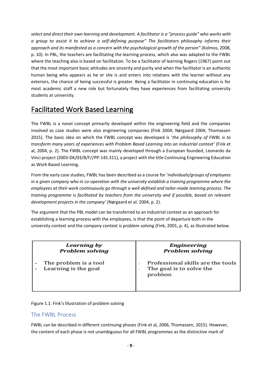*select and direct their own learning and development. A facilitator is a "process guide" who works with a group to assist it to achieve a self-defining purpose" The facilitators philosophy informs their approach and its manifested as a concern with the psychological growth of the person"* (Kolmos, 2008, p. 10). In PBL, the teachers are facilitating the learning process, which also was adapted to the FWBL where the teaching also is based on facilitation. To be a facilitator of learning Rogers (1967) point out that the most important basic attitudes are sincerity and purity and when the facilitator is an authentic human being who appears as he or she is and enters into relations with the learner without any exteriors, the chance of being successful is greater. Being a facilitator in continuing education is for most academic staff a new role but fortunately they have experiences from facilitating university students at university.

# <span id="page-8-0"></span>Facilitated Work Based Learning

The FWBL is a novel concept primarily developed within the engineering field and the companies involved as case studies were also engineering companies (Fink 2004; Nørgaard 2004; Thomassen 2015). The basic idea on which the FWBL concept was developed is '*the philosophy of FWBL is to transform many years of experiences with Problem Based Learning into an industrial context'* (Fink et al, 2004, p. 2). The FWBL concept was mainly developed through a European founded, Leonardo da Vinci project (2003-DK/03/B/F//PP-145.311), a project with the title Continuing Engineering Education as Work Based Learning.

From the early case studies, FWBL has been described as a course for '*individuals/groups of employees in a given company who in co-operation with the university establish a training programme where the employees at their work continuously go through a well-defined and tailor-made learning process. The training programme is facilitated by teachers from the university and if possible, based on relevant development projects in the company'* (Nørgaard et al. 2004, p. 2).

The argument that the PBL model can be transferred to an industrial context as an approach for establishing a learning process with the employees, is that the point of departure both in the university context and the company context is problem solving (Fink, 2001, p. 4), as illustrated below.

| Learning by                                   | <b>Engineering</b>                                                       |
|-----------------------------------------------|--------------------------------------------------------------------------|
| <b>Problem solving</b>                        | <b>Problem solving</b>                                                   |
| The problem is a tool<br>Learning is the goal | Professional skills are the tools<br>The goal is to solve the<br>problem |

Figure 1.1: Fink's Illustration of problem solving

### <span id="page-8-1"></span>The FWBL Process

FWBL can be described in different continuing phases (Fink et al, 2006, Thomassen, 2015). However, the content of each phase is not unambiguous for all FWBL programmes as the distinctive mark of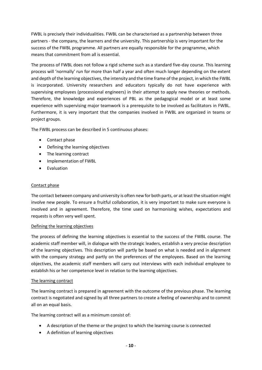FWBL is precisely their individualities. FWBL can be characterised as a partnership between three partners - the company, the learners and the university. This partnership is very important for the success of the FWBL programme. All partners are equally responsible for the programme, which means that commitment from all is essential.

The process of FWBL does not follow a rigid scheme such as a standard five-day course. This learning process will 'normally' run for more than half a year and often much longer depending on the extent and depth of the learning objectives, the intensity and the time frame of the project, in which the FWBL is incorporated. University researchers and educators typically do not have experience with supervising employees (processional engineers) in their attempt to apply new theories or methods. Therefore, the knowledge and experiences of PBL as the pedagogical model or at least some experience with supervising major teamwork is a prerequisite to be involved as facilitators in FWBL. Furthermore, it is very important that the companies involved in FWBL are organized in teams or project groups.

The FWBL process can be described in 5 continuous phases:

- Contact phase
- Defining the learning objectives
- The learning contract
- Implementation of FWBL
- Evaluation

### Contact phase

The contact between company and university is often new for both parts, or at least the situation might involve new people. To ensure a fruitful collaboration, it is very important to make sure everyone is involved and in agreement. Therefore, the time used on harmonising wishes, expectations and requests is often very well spent.

### Defining the learning objectives

The process of defining the learning objectives is essential to the success of the FWBL course. The academic staff member will, in dialogue with the strategic leaders, establish a very precise description of the learning objectives. This description will partly be based on what is needed and in alignment with the company strategy and partly on the preferences of the employees. Based on the learning objectives, the academic staff members will carry out interviews with each individual employee to establish his or her competence level in relation to the learning objectives.

### The learning contract

The learning contract is prepared in agreement with the outcome of the previous phase. The learning contract is negotiated and signed by all three partners to create a feeling of ownership and to commit all on an equal basis.

The learning contract will as a minimum consist of:

- A description of the theme or the project to which the learning course is connected
- A definition of learning objectives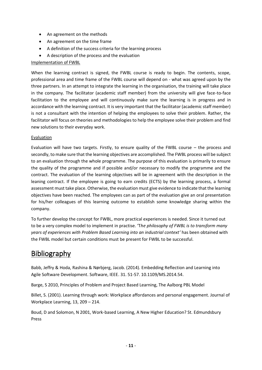- An agreement on the methods
- An agreement on the time frame
- A definition of the success criteria for the learning process
- A description of the process and the evaluation

### Implementation of FWBL

When the learning contract is signed, the FWBL course is ready to begin. The contents, scope, professional area and time frame of the FWBL course will depend on - what was agreed upon by the three partners. In an attempt to integrate the learning in the organisation, the training will take place in the company. The facilitator (academic staff member) from the university will give face-to-face facilitation to the employee and will continuously make sure the learning is in progress and in accordance with the learning contract. It is very important that the facilitator (academic staff member) is not a consultant with the intention of helping the employees to solve their problem. Rather, the facilitator will focus on theories and methodologies to help the employee solve their problem and find new solutions to their everyday work.

### Evaluation

Evaluation will have two targets. Firstly, to ensure quality of the FWBL course – the process and secondly, to make sure that the learning objectives are accomplished. The FWBL process will be subject to an evaluation through the whole programme. The purpose of this evaluation is primarily to ensure the quality of the programme and if possible and/or necessary to modify the programme and the contract. The evaluation of the learning objectives will be in agreement with the description in the leaning contract. If the employee is going to earn credits (ECTS) by the learning process, a formal assessment must take place. Otherwise, the evaluation must give evidence to indicate that the learning objectives have been reached. The employees can as part of the evaluation give an oral presentation for his/her colleagues of this learning outcome to establish some knowledge sharing within the company.

To further develop the concept for FWBL, more practical experiences is needed. Since it turned out to be a very complex model to implement in practise. 'T*he philosophy of FWBL is to transform many years of experiences with Problem Based Learning into an industrial context'* has been obtained with the FWBL model but certain conditions must be present for FWBL to be successful.

# <span id="page-10-0"></span>**Bibliography**

Babb, Jeffry & Hoda, Rashina & Nørbjerg, Jacob. (2014). Embedding Reflection and Learning into Agile Software Development. Software, IEEE. 31. 51-57. 10.1109/MS.2014.54.

Barge, S 2010, Principles of Problem and Project Based Learning, The Aalborg PBL Model

Billet, S. (2001). Learning through work: Workplace affordances and personal engagement. Journal of Workplace Learning, 13, 209 – 214.

Boud, D and Solomon, N 2001, Work-based Learning, A New Higher Education? St. Edmundsbury Press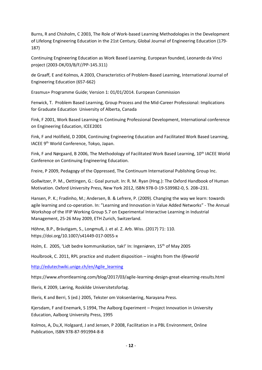Burns, R and Chisholm, C 2003, The Role of Work-based Learning Methodologies in the Development of Lifelong Engineering Education in the 21st Century, Global Journal of Engineering Education (179- 187)

Continuing Engineering Education as Work Based Learning. European founded, Leonardo da Vinci project (2003-DK/03/B/F//PP-145.311)

de Graaff, E and Kolmos, A 2003, Characteristics of Problem-Based Learning, International Journal of Engineering Education (657-662)

Erasmus+ Programme Guide; Version 1: 01/01/2014. European Commission

Fenwick, T. Problem Based Learning, Group Process and the Mid-Career Professional: Implications for Graduate Education University of Alberta, Canada

Fink, F 2001, Work Based Learning in Continuing Professional Development, International conference on Engineering Education, ICEE2001

Fink, F and Holifield, D 2004, Continuing Engineering Education and Facilitated Work Based Learning, IACEE 9th World Conference, Tokyo, Japan.

Fink, F and Nørgaard, B 2006, The Methodology of Facilitated Work Based Learning, 10<sup>th</sup> IACEE World Conference on Continuing Engineering Education.

Freire, P 2009, Pedagogy of the Oppressed, The Continuum International Publishing Group Inc.

Gollwitzer, P. M., Oettingen, G.: Goal pursuit. In: R. M. Ryan (Hrsg.): The Oxford Handbook of Human Motivation. Oxford University Press, New York 2012, [ISBN 978-0-19-539982-0,](https://de.wikipedia.org/wiki/Spezial:ISBN-Suche/9780195399820) S. 208–231.

Hansen, P. K.; Fradinho, M.; Andersen, B. & Lefrere, P. (2009). Changing the way we learn: towards agile learning and co-operation. In: "Learning and Innovation in Value Added Networks" - The Annual Workshop of the IFIP Working Group 5.7 on Experimental Interactive Learning in Industrial Management, 25-26 May 2009, ETH Zurich, Switzerland.

Höhne, B.P., Bräutigam, S., Longmuß, J. et al. Z. Arb. Wiss. (2017) 71: 110. https://doi.org/10.1007/s41449-017-0055-x

Holm, E. 2005, 'Lidt bedre kommunikation, tak!' In: Ingeniøren, 15th of May 2005

Houlbrook, C. 2011, RPL practice and student disposition – insights from the *lifeworld*

[http://edutechwiki.unige.ch/en/Agile\\_learning](http://edutechwiki.unige.ch/en/Agile_learning)

https://www.efrontlearning.com/blog/2017/03/agile-learning-design-great-elearning-results.html

Illeris, K 2009, Læring, Roskilde Universitetsforlag.

Illeris, K and Berri, S (ed.) 2005, Tekster om Voksenlæring, Narayana Press.

Kjersdam, F and Enemark, S 1994, The Aalborg Experiment – Project Innovation in University Education, Aalborg University Press, 1995

Kolmos, A, Du,X, Holgaard, J and Jensen, P 2008, Facilitation in a PBL Environment, Online Publication, ISBN 978-87-991994-8-8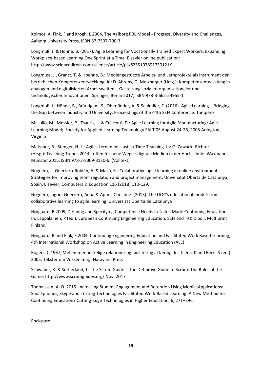Kolmos, A, Fink, F and Krogh, L 2004, The Aalborg PBL Model - Progress, Diversity and Challenges, Aalborg University Press, ISBN 87-7307-700-3

Longmuß, J. & Höhne, B. (2017). Agile Learning for Vocationally Trained Expert Workers. Expanding Workplace-based Learning One Sprint at a Time. Elsevier online publication: http://www.sciencedirect.com/science/article/pii/S235197891730121X

Longmuss, J., Grantz, T. & Hoehne, B.: Mediengestützte Arbeits‐ und Lernprojekte als Instrument der betrieblichen Kompetenzentwicklung. In: D. Ahrens, G. Molzberger (Hrsg.): Kompetenzentwicklung in analogen und digitalisierten Arbeitswelten – Gestaltung sozialer, organisationaler und technologischer Innovationen. Springer, Berlin 2017, [ISBN 978-3-662-54955-1](https://de.wikipedia.org/wiki/Spezial:ISBN-Suche/9783662549551)

Longmuß, J., Höhne, B., Bräutigam, S., Oberländer, A. & Schindler, F. (2016). Agile Learning – Bridging the Gap between Industry and University. Proceedings of the 44th SEFI Conference. Tampere

Masullo, M., Messier, P., Tsantis, L. & Criscenti, D.: Agile Learning for Agile Manufacturing: An e-Learning Model; Society for Applied Learning Technology SALT'05 August 24-26, 2005 Arlington, Virginia

Meissner, B., Stenger, H.-J.: Agiles Lernen mit Just-in-Time Teaching. In: O. Zawacki-Richter (Hrsg.): Teaching Trends 2014 : offen für neue Wege : digitale Medien in der Hochschule. Waxmann, Münster 2015, [ISBN 978-3-8309-3170-6.](https://de.wikipedia.org/wiki/Spezial:ISBN-Suche/9783830931706) [\(Volltext\)](https://opus4.kobv.de/opus4-ohm/frontdoor/index/index/docId/148)

Noguera, I., Guerrero-Roldán, A. & Masó, R.: Collaborative agile learning in online environments: Strategies for improving team regulation and project management. Universitat Oberta de Catalunya, Spain, Elsevier, Computers & Education 116 (2018) 110-129.

Noguera, Ingrid; Guerrero, Anna & Appel, Christine. (2015). The UOC's educational model: from collaborative learning to agile learning. Universitat Oberta de Catalunya

Nørgaard, B 2009, Defining and Specifying Competence Needs in Tailor-Made Continuing Education. In: Lappalainen, P (ed.), European Continuing Engineering Education, SEFI and TKK Dipoli, Multiprint Finland

Nørgaard, B and Fink, F 2004, Continuing Engineering Education and Facilitated Work Based Learning, 4th International Workshop on Active Learning in Engineering Education (ALE)

Rogers, C 1967, Mellemmenneskelige relationer og facilitering af læring. In: Illeris, K and Berri, S (ed.) 2005, Tekster om Voksenlærig, Narayana Press

Schwaber, K. & Sutherland, J.: The Scrum Guide - The Definitive Guide to Scrum: The Rules of the Game[; http://www.scrumguides.org/](http://www.scrumguides.org/) Nov. 2017

Thomassen, A. O. 2015. Increasing Student Engagement and Retention Using Mobile Applications: Smartphones, Skype and Texting Technologies Facilitated Work Based Learning: A New Method for Continuing Education? Cutting-Edge Technologies in Higher Education, 6, 271–296.

### Enclosure